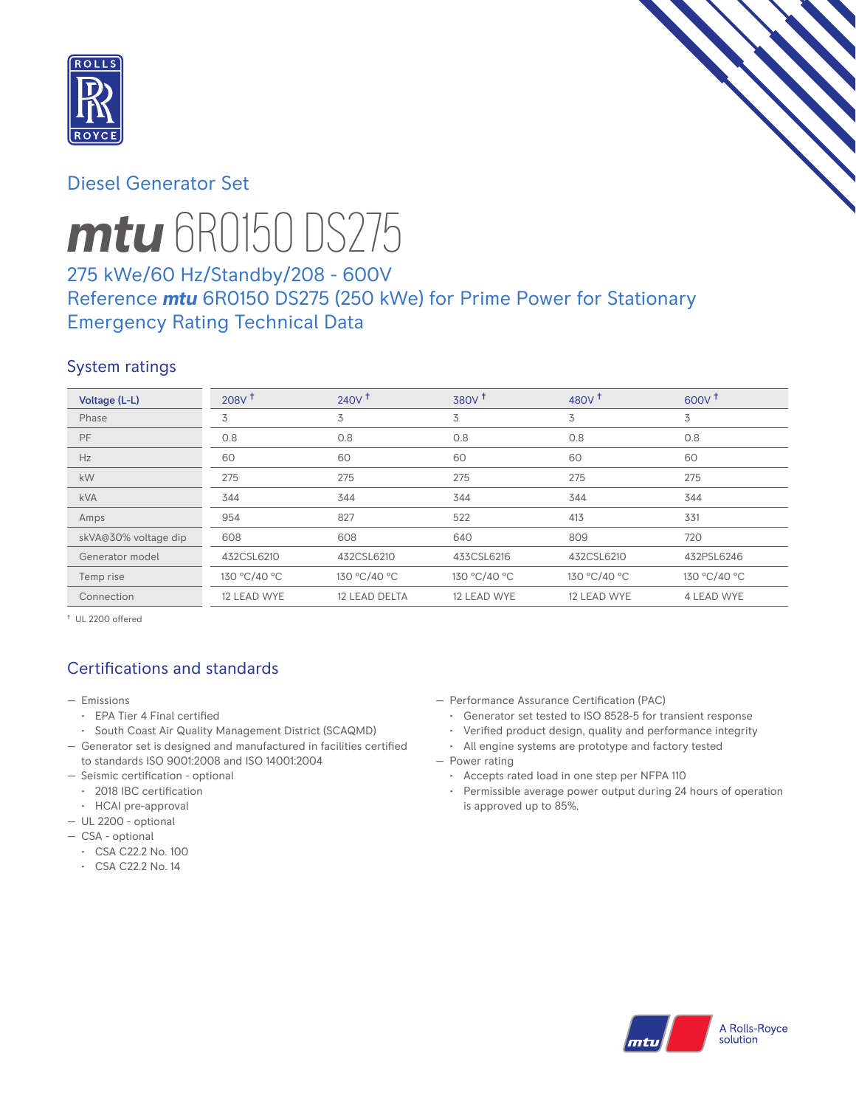

# Diesel Generator Set



# *mtu* 6R0150 DS275

# 275 kWe/60 Hz/Standby/208 - 600V Reference *mtu* 6R0150 DS275 (250 kWe) for Prime Power for Stationary Emergency Rating Technical Data

## System ratings

| Voltage (L-L)        | 208V <sup>†</sup> | 240V <sup>†</sup> | 380V <sup>†</sup> | 480 $V†$     | 600V <sup>†</sup> |
|----------------------|-------------------|-------------------|-------------------|--------------|-------------------|
| Phase                | 3                 | 3                 | 3                 | 3            | 3                 |
| <b>PF</b>            | 0.8               | 0.8               | 0.8               | 0.8          | 0.8               |
| Hz                   | 60                | 60                | 60                | 60           | 60                |
| <b>kW</b>            | 275               | 275               | 275               | 275          | 275               |
| <b>kVA</b>           | 344               | 344               | 344               | 344          | 344               |
| Amps                 | 954               | 827               | 522               | 413          | 331               |
| skVA@30% voltage dip | 608               | 608               | 640               | 809          | 720               |
| Generator model      | 432CSL6210        | 432CSL6210        | 433CSL6216        | 432CSL6210   | 432PSL6246        |
| Temp rise            | 130 °C/40 °C      | 130 °C/40 °C      | 130 °C/40 °C      | 130 °C/40 °C | 130 °C/40 °C      |
| Connection           | 12 LEAD WYE       | 12 LEAD DELTA     | 12 LEAD WYE       | 12 LEAD WYE  | 4 LEAD WYE        |

† UL 2200 offered

# Certifications and standards

- Emissions
	- EPA Tier 4 Final certified
	- South Coast Air Quality Management District (SCAQMD)
- Generator set is designed and manufactured in facilities certified to standards ISO 9001:2008 and ISO 14001:2004
- Seismic certification optional
	- 2018 IBC certification
- HCAI pre-approval
- UL 2200 optional
- CSA optional
	- CSA C22.2 No. 100
	- CSA C22.2 No. 14
- Performance Assurance Certification (PAC)
	- Generator set tested to ISO 8528-5 for transient response
	- Verified product design, quality and performance integrity
	- All engine systems are prototype and factory tested
- Power rating
	- Accepts rated load in one step per NFPA 110
	- Permissible average power output during 24 hours of operation is approved up to 85%.

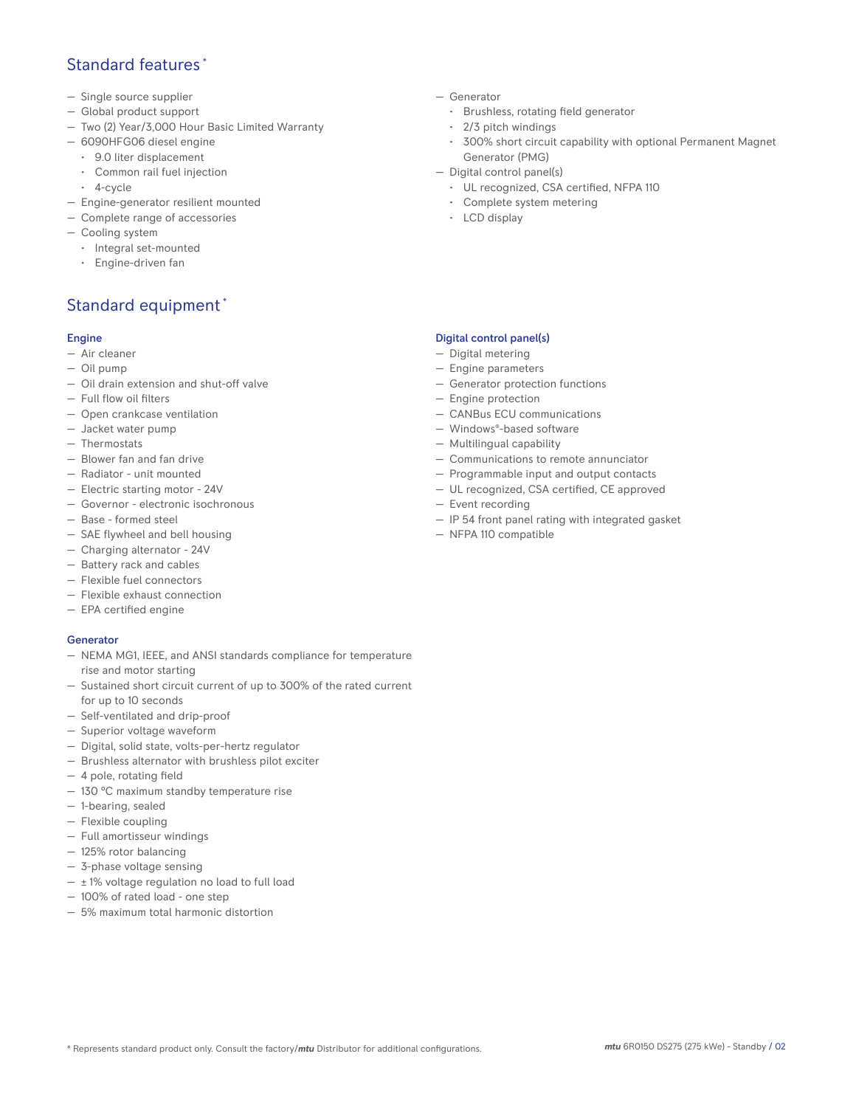# Standard features<sup>\*</sup>

- Single source supplier
- Global product support
- Two (2) Year/3,000 Hour Basic Limited Warranty
- 6090HFG06 diesel engine
	- 9.0 liter displacement
	- Common rail fuel injection
	- 4-cycle
- Engine-generator resilient mounted
- Complete range of accessories
- Cooling system
- Integral set-mounted
	- Engine-driven fan

# Standard equipment \*

#### Engine

- Air cleaner
- Oil pump
- Oil drain extension and shut-off valve
- Full flow oil filters
- Open crankcase ventilation
- Jacket water pump
- Thermostats
- Blower fan and fan drive
- Radiator unit mounted
- Electric starting motor 24V
- Governor electronic isochronous
- Base formed steel
- SAE flywheel and bell housing
- Charging alternator 24V
- Battery rack and cables
- Flexible fuel connectors
- Flexible exhaust connection
- EPA certified engine

#### **Generator**

- NEMA MG1, IEEE, and ANSI standards compliance for temperature rise and motor starting
- Sustained short circuit current of up to 300% of the rated current for up to 10 seconds
- Self-ventilated and drip-proof
- Superior voltage waveform
- Digital, solid state, volts-per-hertz regulator
- Brushless alternator with brushless pilot exciter
- 4 pole, rotating field
- 130 °C maximum standby temperature rise
- 1-bearing, sealed
- Flexible coupling
- Full amortisseur windings
- 125% rotor balancing
- 3-phase voltage sensing
- $\pm$  1% voltage regulation no load to full load
- 100% of rated load one step
- 5% maximum total harmonic distortion
- Generator
	- Brushless, rotating field generator
	- 2/3 pitch windings
	- 300% short circuit capability with optional Permanent Magnet Generator (PMG)
- Digital control panel(s)
	- UL recognized, CSA certified, NFPA 110
	- Complete system metering
	- LCD display

## Digital control panel(s)

- Digital metering
- Engine parameters
- Generator protection functions
- Engine protection
- CANBus ECU communications
- Windows®-based software
- Multilingual capability
- Communications to remote annunciator
- Programmable input and output contacts
- UL recognized, CSA certified, CE approved
- Event recording
- IP 54 front panel rating with integrated gasket
- NFPA 110 compatible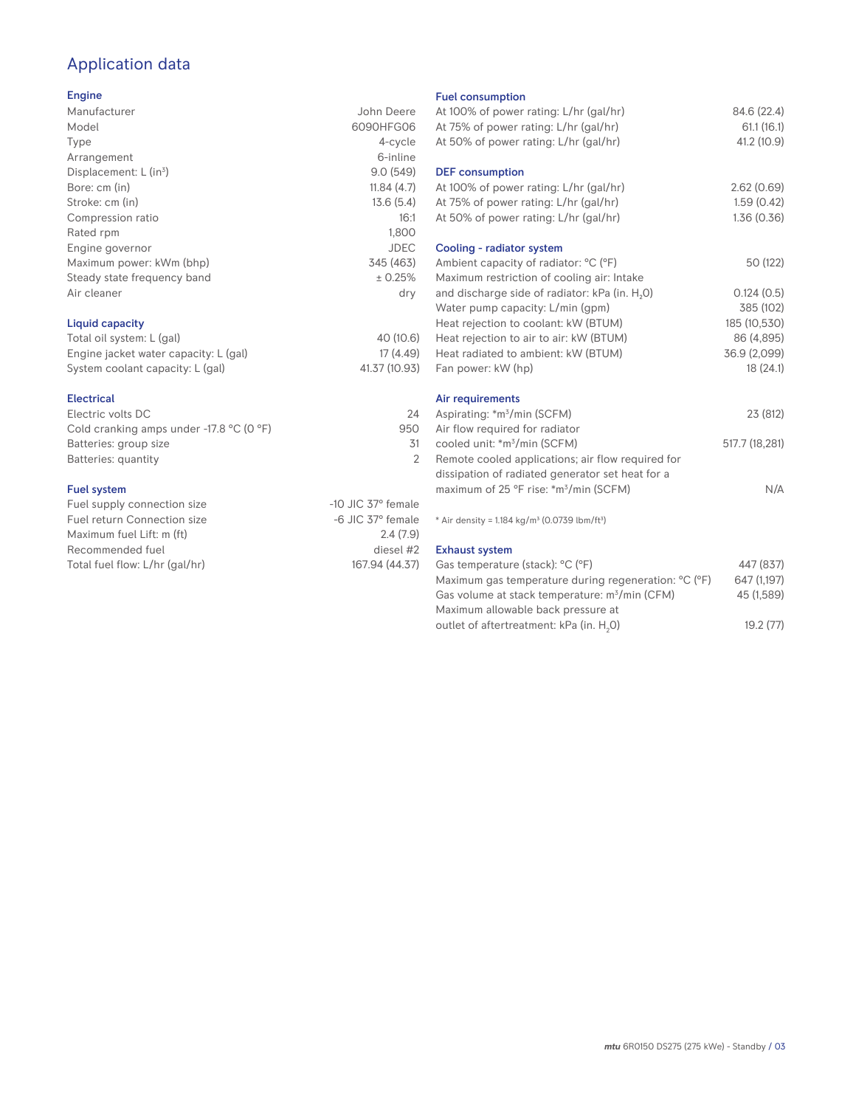# Application data

### Engine

| Manufacturer                | John Deere  |
|-----------------------------|-------------|
| Model                       | 6090HFG06   |
| Type                        | 4-cycle     |
| Arrangement                 | 6-inline    |
| Displacement: $L (in3)$     | 9.0(549)    |
| Bore: cm (in)               | 11.84(4.7)  |
| Stroke: cm (in)             | 13.6(5.4)   |
| Compression ratio           | 16:1        |
| Rated rpm                   | 1,800       |
| Engine governor             | <b>JDEC</b> |
| Maximum power: kWm (bhp)    | 345 (463)   |
| Steady state frequency band | ± 0.25%     |
| Air cleaner                 | dry         |
|                             |             |
|                             |             |

## Liquid capacity

| Total oil system: L (gal)             | 40 (10.6)     |
|---------------------------------------|---------------|
| Engine jacket water capacity: L (gal) | 17 (4.49)     |
| System coolant capacity: L (gal)      | 41.37 (10.93) |

#### Electrical

| Electric volts DC                                            | 24  |
|--------------------------------------------------------------|-----|
| Cold cranking amps under -17.8 $^{\circ}$ C (O $^{\circ}$ F) | 950 |
| Batteries: group size                                        | .31 |
| Batteries: quantity                                          |     |
|                                                              |     |

#### Fuel system

| Fuel supply connection size    | $-10$ JIC 37 $\degree$ female |
|--------------------------------|-------------------------------|
| Fuel return Connection size    | $-6$ JIC 37 $^{\circ}$ female |
| Maximum fuel Lift: m (ft)      | 2.4(7.9)                      |
| Recommended fuel               | diesel #2                     |
| Total fuel flow: L/hr (gal/hr) | 167.94 (44.37)                |
|                                |                               |

#### Fuel consumption

| At 100% of power rating: L/hr (gal/hr)<br>At 75% of power rating: L/hr (gal/hr)<br>At 50% of power rating: L/hr (gal/hr) | 84.6 (22.4)<br>61.1(16.1)<br>41.2 (10.9) |
|--------------------------------------------------------------------------------------------------------------------------|------------------------------------------|
| <b>DEF</b> consumption<br>At 100% of power rating: L/hr (gal/hr)<br>At 75% of power rating: L/hr (gal/hr)                | 2.62(0.69)<br>1.59(0.42)                 |
| At 50% of power rating: L/hr (gal/hr)<br>Cooling - radiator system                                                       | 1.36(0.36)                               |
| Ambient capacity of radiator: °C (°F)<br>Maximum restriction of cooling air: Intake                                      | 50 (122)                                 |
| and discharge side of radiator: kPa (in. H <sub>2</sub> O)                                                               | 0.124(0.5)                               |
| Water pump capacity: L/min (gpm)                                                                                         | 385 (102)                                |
| Heat rejection to coolant: kW (BTUM)                                                                                     | 185 (10,530)                             |
| Heat rejection to air to air: kW (BTUM)                                                                                  | 86 (4,895)                               |
| Heat radiated to ambient: kW (BTUM)                                                                                      | 36.9 (2,099)                             |
| Fan power: kW (hp)                                                                                                       | 18(24.1)                                 |
| Air requirements                                                                                                         |                                          |
| Aspirating: *m <sup>3</sup> /min (SCFM)                                                                                  | 23 (812)                                 |
| Air flow required for radiator                                                                                           |                                          |
| cooled unit: *m <sup>3</sup> /min (SCFM)                                                                                 | 517.7 (18,281)                           |
| Remote cooled applications; air flow required for                                                                        |                                          |
| dissipation of radiated generator set heat for a                                                                         |                                          |
| maximum of 25 °F rise: *m <sup>3</sup> /min (SCFM)                                                                       | N/A                                      |
| * Air density = 1.184 kg/m <sup>3</sup> (0.0739 lbm/ft <sup>3</sup> )                                                    |                                          |
| <b>Exhaust system</b>                                                                                                    |                                          |
| Gas temperature (stack): °C (°F)                                                                                         | 447 (837)                                |
| Maximum gas temperature during regeneration: °C (°F)                                                                     | 647 (1,197)                              |
| Gas volume at stack temperature: m <sup>3</sup> /min (CFM)                                                               | 45 (1,589)                               |
|                                                                                                                          |                                          |

Maximum allowable back pressure at outlet of aftertreatment: kPa (in.  ${\sf H}_{_2}$ 

0) 19.2 (77)